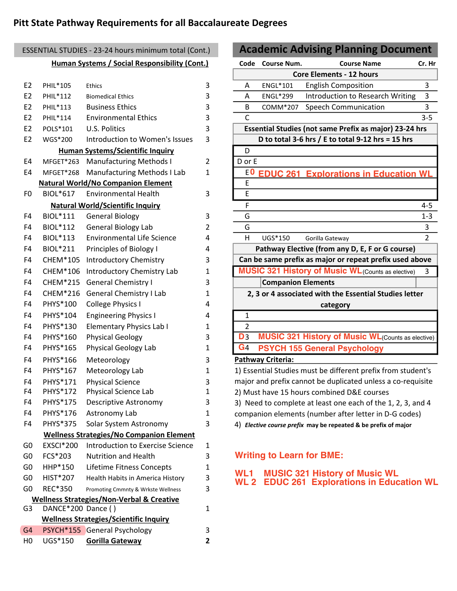#### **Pitt State Pathway Requirements for all Baccalaureate Degrees**

# E2 POLS\*101 U.S. Politics 3 E2 WGS\*200 Introduction to Women's Issues 3 E4 MFGET\*263 Manufacturing Methods I 2 D or E E4 MFGET\*268 Manufacturing Methods I Lab 1 FO BIOL\*617 Environmental Health 3 PM BIOL\*617 F4 BIOL\*211 Principles of Biology I 4 F4 CHEM\*105 Introductory Chemistry 3 F4 CHEM<sup>\*</sup>215 General Chemistry I 3 F4 CHEM\*216 General Chemistry I Lab 1 F4 PHYS<sup>\*</sup>100 College Physics I 4 F4 PHYS\*104 Engineering Physics I 4 1 F4 PHYS\*130 Elementary Physics Lab I 1 | 2 F4 PHYS\*160 Physical Geology 3 3 D3 F4 PHYS $*165$  Physical Geology Lab 1 4  $\text{G}_4$ F4 PHYS\*166 Meteorology 3 F4 PHYS\*167 Meteorology Lab 1 F4 PHYS\*171 Physical Science 3 F4 PHYS\*172 Physical Science Lab 1 F4 PHYS\*175 Descriptive Astronomy 3 F4 PHYS\*176 Astronomy Lab 1 F4 PHYS\*375 Solar System Astronomy 3 G0 EXSCI\*200 Introduction to Exercise Science 1 G0 FCS\*203 Nutrition and Health 3 G0 HHP\*150 Lifetime Fitness Concepts 1 G0 HIST\*207 Health Habits in America History 3 GO REC\*350 Promoting Cmmnty & Wrkste Wellness 3 G3 DANCE\*200 Dance ( ) 1 G4 PSYCH<sup>\*</sup>155 General Psychology 3 **Wellness Strategies/Non-Verbal & Creative Wellness Strategies/No Companion Element Human Systems/Scientific Inquiry Natural World/No Companion Element Natural World/Scientific Inquiry Wellness Strategies/Scientific Inquiry Human Systems / Social Responsibility (Cont.)** ESSENTIAL STUDIES - 23-24 hours minimum total (Cont.)

H0 UGS\*150 **Gorilla Gateway 2**

## **Code Course Num. Course Name Cr. Hr** E2 PHIL\*105 Ethics 3 A ENGL\*101 English Composition 3 E2 PHIL\*112 Biomedical Ethics 3 A ENGL\*299 Introduction to Research Writing 3 E2 PHIL\*113 Business Ethics 3 3 B COMM\*207 Speech Communication 3 E2 PHIL\*114 Environmental Ethics 3 C 3-5 D E  $F$  4-5 F4 BIOL\*111 General Biology 3 G 3 G 1-3 F4 BIOL\*112 General Biology Lab 2 G 3 3 F4 BIOL\*113 Environmental Life Science 4 H UGS\*150 Gorilla Gateway 2 F4 CHEM\*106 Introductory Chemistry Lab 1 **MUSIC 321 History of Music WL** (Counts as elective) 3 **Academic Advising Planning Document Pathway Criteria:**  1) Essential Studies must be different prefix from student's **Essential Studies (not same Prefix as major) 23-24 hrs Pathway Elective (from any D, E, F or G course) D to total 3-6 hrs / E to total 9-12 hrs = 15 hrs Can be same prefix as major or repeat prefix used above Companion Elements 2, 3 or 4 associated with the Essential Studies letter category Core Elements - 12 hours 0 EDUC 261 Explorations in Education WL MUSIC 321 History of Music WL**(Counts as elective) **PSYCH 155 General Psychology**

major and prefix cannot be duplicated unless a co-requisite 2) Must have 15 hours combined D&E courses 3) Need to complete at least one each of the 1, 2, 3, and 4

companion elements (number after letter in D-G codes)

4) *Elective course prefix* **may be repeated & be prefix of major**

#### **Writing to Learn for BME:**

**WL1 MUSIC 321 History of Music WL WL 2 EDUC 261 Explorations in Education WL**